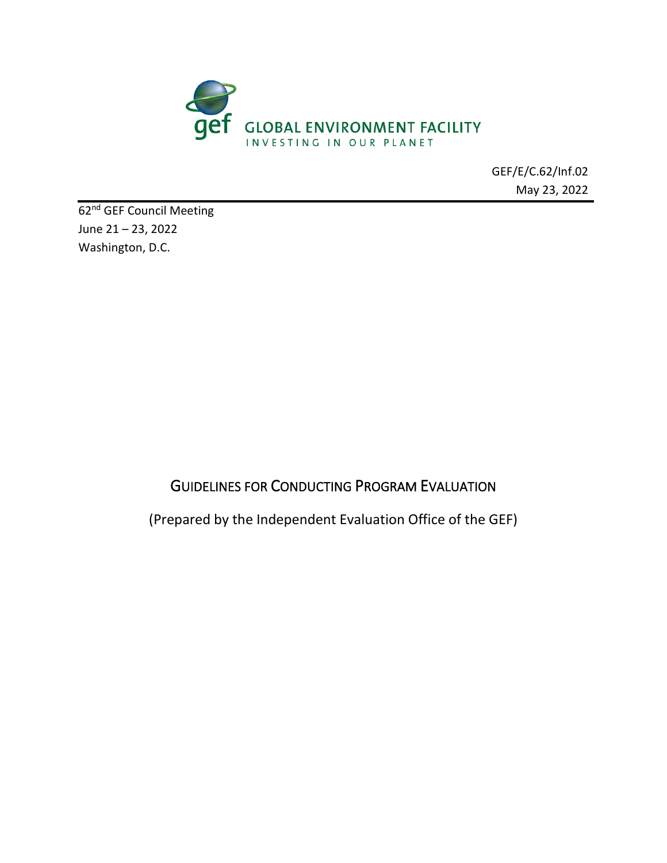

GEF/E/C.62/Inf.02 May 23, 2022

62<sup>nd</sup> GEF Council Meeting June 21 – 23, 2022 Washington, D.C.

# GUIDELINES FOR CONDUCTING PROGRAM EVALUATION

(Prepared by the Independent Evaluation Office of the GEF)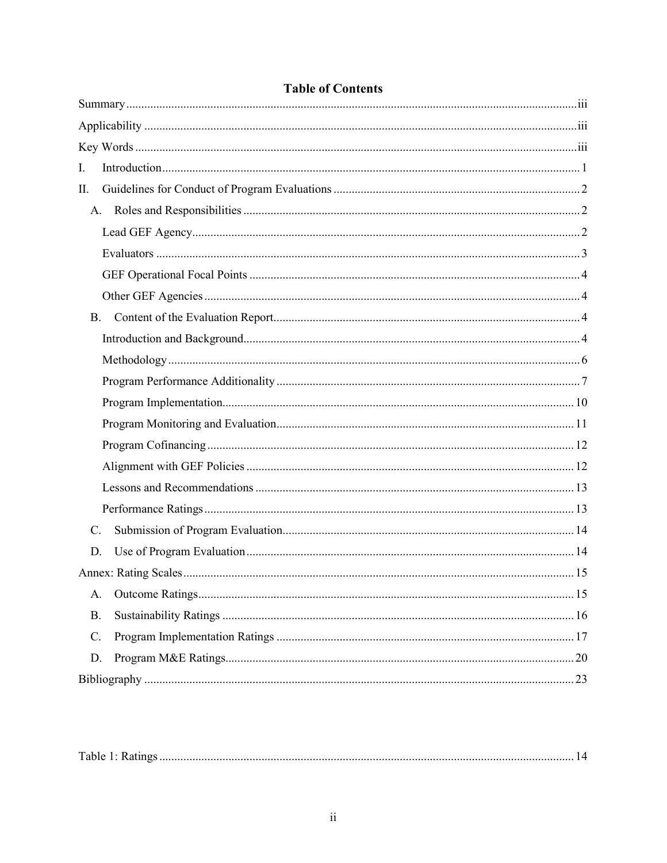| I.              |  |
|-----------------|--|
| Π.              |  |
|                 |  |
|                 |  |
|                 |  |
|                 |  |
|                 |  |
|                 |  |
|                 |  |
|                 |  |
|                 |  |
|                 |  |
|                 |  |
|                 |  |
|                 |  |
|                 |  |
|                 |  |
| $\mathcal{C}$ . |  |
| D.              |  |
|                 |  |
| A.              |  |
| <b>B.</b>       |  |
| C.              |  |
| D.              |  |
|                 |  |

## **Table of Contents**

| Table<br>IV 4. |  |  |
|----------------|--|--|
|----------------|--|--|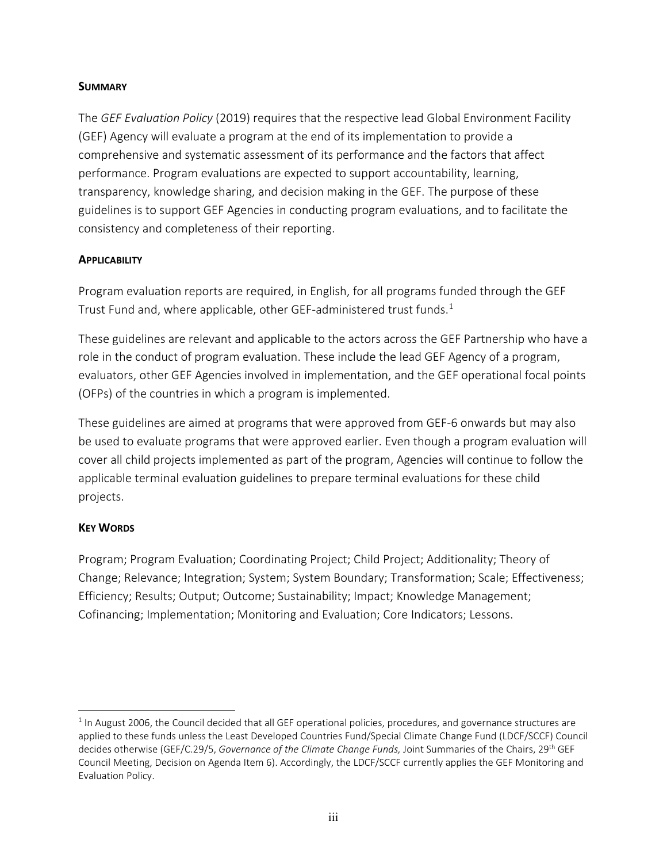#### <span id="page-2-0"></span>**SUMMARY**

The *GEF Evaluation Policy* (2019) requires that the respective lead Global Environment Facility (GEF) Agency will evaluate a program at the end of its implementation to provide a comprehensive and systematic assessment of its performance and the factors that affect performance. Program evaluations are expected to support accountability, learning, transparency, knowledge sharing, and decision making in the GEF. The purpose of these guidelines is to support GEF Agencies in conducting program evaluations, and to facilitate the consistency and completeness of their reporting.

#### <span id="page-2-1"></span>**APPLICABILITY**

Program evaluation reports are required, in English, for all programs funded through the GEF Trust Fund and, where applicable, other GEF-administered trust funds.<sup>[1](#page-2-3)</sup>

These guidelines are relevant and applicable to the actors across the GEF Partnership who have a role in the conduct of program evaluation. These include the lead GEF Agency of a program, evaluators, other GEF Agencies involved in implementation, and the GEF operational focal points (OFPs) of the countries in which a program is implemented.

These guidelines are aimed at programs that were approved from GEF-6 onwards but may also be used to evaluate programs that were approved earlier. Even though a program evaluation will cover all child projects implemented as part of the program, Agencies will continue to follow the applicable terminal evaluation guidelines to prepare terminal evaluations for these child projects.

#### <span id="page-2-2"></span>**KEY WORDS**

Program; Program Evaluation; Coordinating Project; Child Project; Additionality; Theory of Change; Relevance; Integration; System; System Boundary; Transformation; Scale; Effectiveness; Efficiency; Results; Output; Outcome; Sustainability; Impact; Knowledge Management; Cofinancing; Implementation; Monitoring and Evaluation; Core Indicators; Lessons.

<span id="page-2-3"></span> $1$  In August 2006, the Council decided that all GEF operational policies, procedures, and governance structures are applied to these funds unless the Least Developed Countries Fund/Special Climate Change Fund (LDCF/SCCF) Council decides otherwise (GEF/C.29/5, *Governance of the Climate Change Funds,* Joint Summaries of the Chairs, 29th GEF Council Meeting, Decision on Agenda Item 6). Accordingly, the LDCF/SCCF currently applies the GEF Monitoring and Evaluation Policy.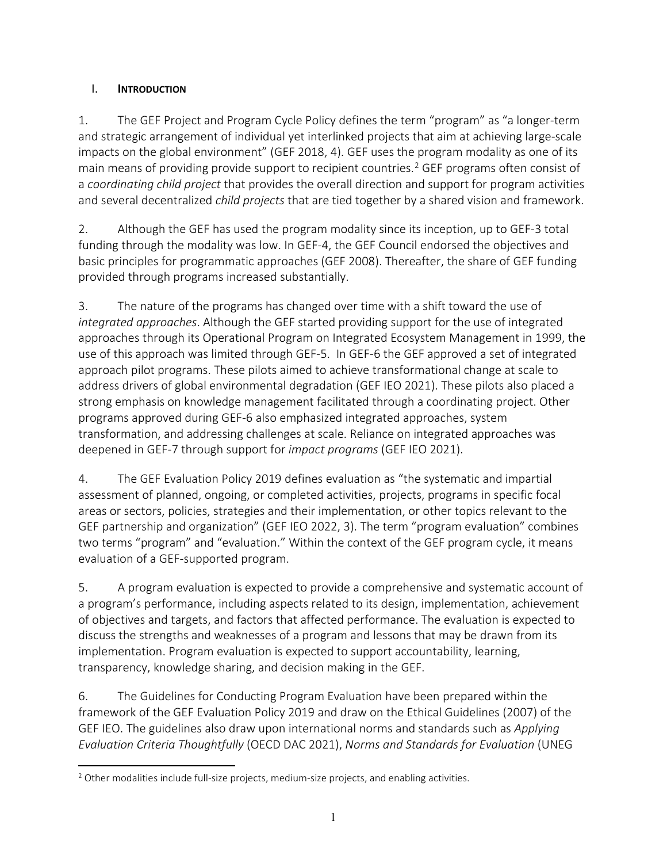## <span id="page-3-0"></span>I. **INTRODUCTION**

1. The GEF Project and Program Cycle Policy defines the term "program" as "a longer-term and strategic arrangement of individual yet interlinked projects that aim at achieving large-scale impacts on the global environment" (GEF 2018, 4). GEF uses the program modality as one of its main means of providing provide support to recipient countries.<sup>[2](#page-3-1)</sup> GEF programs often consist of a *coordinating child project* that provides the overall direction and support for program activities and several decentralized *child projects* that are tied together by a shared vision and framework.

2. Although the GEF has used the program modality since its inception, up to GEF-3 total funding through the modality was low. In GEF-4, the GEF Council endorsed the objectives and basic principles for programmatic approaches (GEF 2008). Thereafter, the share of GEF funding provided through programs increased substantially.

3. The nature of the programs has changed over time with a shift toward the use of *integrated approaches*. Although the GEF started providing support for the use of integrated approaches through its Operational Program on Integrated Ecosystem Management in 1999, the use of this approach was limited through GEF-5. In GEF-6 the GEF approved a set of integrated approach pilot programs. These pilots aimed to achieve transformational change at scale to address drivers of global environmental degradation (GEF IEO 2021). These pilots also placed a strong emphasis on knowledge management facilitated through a coordinating project. Other programs approved during GEF-6 also emphasized integrated approaches, system transformation, and addressing challenges at scale. Reliance on integrated approaches was deepened in GEF-7 through support for *impact programs* (GEF IEO 2021).

4. The GEF Evaluation Policy 2019 defines evaluation as "the systematic and impartial assessment of planned, ongoing, or completed activities, projects, programs in specific focal areas or sectors, policies, strategies and their implementation, or other topics relevant to the GEF partnership and organization" (GEF IEO 2022, 3). The term "program evaluation" combines two terms "program" and "evaluation." Within the context of the GEF program cycle, it means evaluation of a GEF-supported program.

5. A program evaluation is expected to provide a comprehensive and systematic account of a program's performance, including aspects related to its design, implementation, achievement of objectives and targets, and factors that affected performance. The evaluation is expected to discuss the strengths and weaknesses of a program and lessons that may be drawn from its implementation. Program evaluation is expected to support accountability, learning, transparency, knowledge sharing, and decision making in the GEF.

6. The Guidelines for Conducting Program Evaluation have been prepared within the framework of the GEF Evaluation Policy 2019 and draw on the Ethical Guidelines (2007) of the GEF IEO. The guidelines also draw upon international norms and standards such as *Applying Evaluation Criteria Thoughtfully* (OECD DAC 2021), *Norms and Standards for Evaluation* (UNEG

<span id="page-3-1"></span><sup>&</sup>lt;sup>2</sup> Other modalities include full-size projects, medium-size projects, and enabling activities.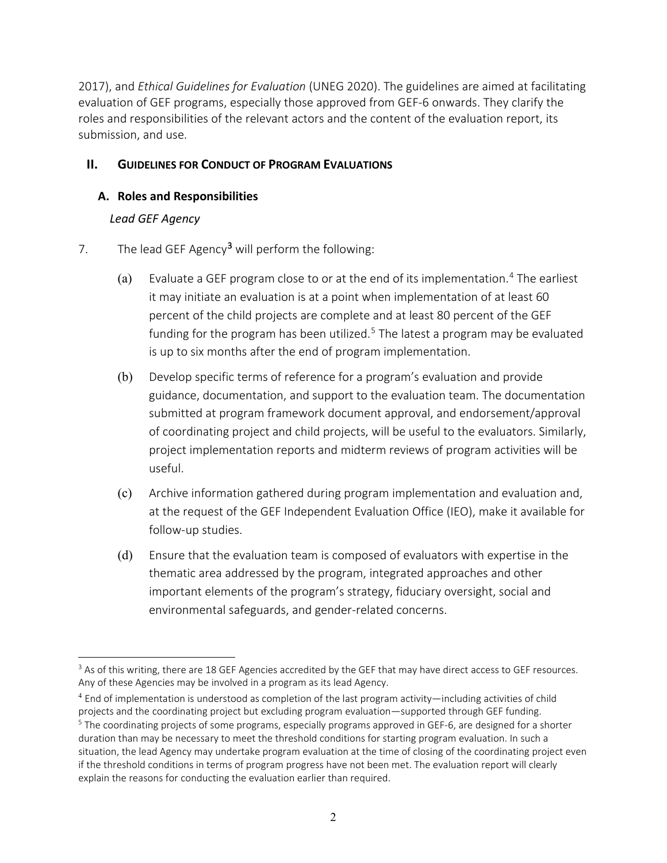2017), and *Ethical Guidelines for Evaluation* (UNEG 2020). The guidelines are aimed at facilitating evaluation of GEF programs, especially those approved from GEF-6 onwards. They clarify the roles and responsibilities of the relevant actors and the content of the evaluation report, its submission, and use.

## <span id="page-4-0"></span>**II. GUIDELINES FOR CONDUCT OF PROGRAM EVALUATIONS**

#### <span id="page-4-2"></span><span id="page-4-1"></span>**A. Roles and Responsibilities**

### *Lead GEF Agency*

- 7. The lead GEF Agency<sup>[3](#page-4-3)</sup> will perform the following:
	- (a) Evaluate a GEF program close to or at the end of its implementation.<sup>[4](#page-4-4)</sup> The earliest it may initiate an evaluation is at a point when implementation of at least 60 percent of the child projects are complete and at least 80 percent of the GEF funding for the program has been utilized.<sup>[5](#page-4-5)</sup> The latest a program may be evaluated is up to six months after the end of program implementation.
	- (b) Develop specific terms of reference for a program's evaluation and provide guidance, documentation, and support to the evaluation team. The documentation submitted at program framework document approval, and endorsement/approval of coordinating project and child projects, will be useful to the evaluators. Similarly, project implementation reports and midterm reviews of program activities will be useful.
	- (c) Archive information gathered during program implementation and evaluation and, at the request of the GEF Independent Evaluation Office (IEO), make it available for follow-up studies.
	- (d) Ensure that the evaluation team is composed of evaluators with expertise in the thematic area addressed by the program, integrated approaches and other important elements of the program's strategy, fiduciary oversight, social and environmental safeguards, and gender-related concerns.

<span id="page-4-3"></span><sup>&</sup>lt;sup>3</sup> As of this writing, there are 18 GEF Agencies accredited by the GEF that may have direct access to GEF resources. Any of these Agencies may be involved in a program as its lead Agency.

<span id="page-4-4"></span><sup>4</sup> End of implementation is understood as completion of the last program activity—including activities of child projects and the coordinating project but excluding program evaluation—supported through GEF funding.

<span id="page-4-5"></span><sup>&</sup>lt;sup>5</sup> The coordinating projects of some programs, especially programs approved in GEF-6, are designed for a shorter duration than may be necessary to meet the threshold conditions for starting program evaluation. In such a situation, the lead Agency may undertake program evaluation at the time of closing of the coordinating project even if the threshold conditions in terms of program progress have not been met. The evaluation report will clearly explain the reasons for conducting the evaluation earlier than required.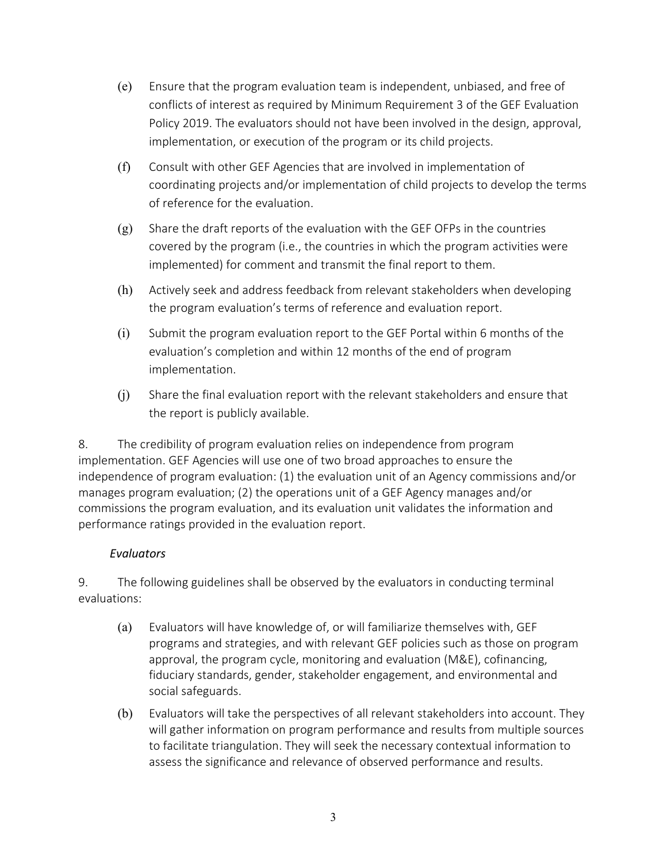- (e) Ensure that the program evaluation team is independent, unbiased, and free of conflicts of interest as required by Minimum Requirement 3 of the GEF Evaluation Policy 2019. The evaluators should not have been involved in the design, approval, implementation, or execution of the program or its child projects.
- (f) Consult with other GEF Agencies that are involved in implementation of coordinating projects and/or implementation of child projects to develop the terms of reference for the evaluation.
- $(g)$  Share the draft reports of the evaluation with the GEF OFPs in the countries covered by the program (i.e., the countries in which the program activities were implemented) for comment and transmit the final report to them.
- (h) Actively seek and address feedback from relevant stakeholders when developing the program evaluation's terms of reference and evaluation report.
- (i) Submit the program evaluation report to the GEF Portal within 6 months of the evaluation's completion and within 12 months of the end of program implementation.
- (j) Share the final evaluation report with the relevant stakeholders and ensure that the report is publicly available.

8. The credibility of program evaluation relies on independence from program implementation. GEF Agencies will use one of two broad approaches to ensure the independence of program evaluation: (1) the evaluation unit of an Agency commissions and/or manages program evaluation; (2) the operations unit of a GEF Agency manages and/or commissions the program evaluation, and its evaluation unit validates the information and performance ratings provided in the evaluation report.

#### *Evaluators*

<span id="page-5-0"></span>9. The following guidelines shall be observed by the evaluators in conducting terminal evaluations:

- (a) Evaluators will have knowledge of, or will familiarize themselves with, GEF programs and strategies, and with relevant GEF policies such as those on program approval, the program cycle, monitoring and evaluation (M&E), cofinancing, fiduciary standards, gender, stakeholder engagement, and environmental and social safeguards.
- (b) Evaluators will take the perspectives of all relevant stakeholders into account. They will gather information on program performance and results from multiple sources to facilitate triangulation. They will seek the necessary contextual information to assess the significance and relevance of observed performance and results.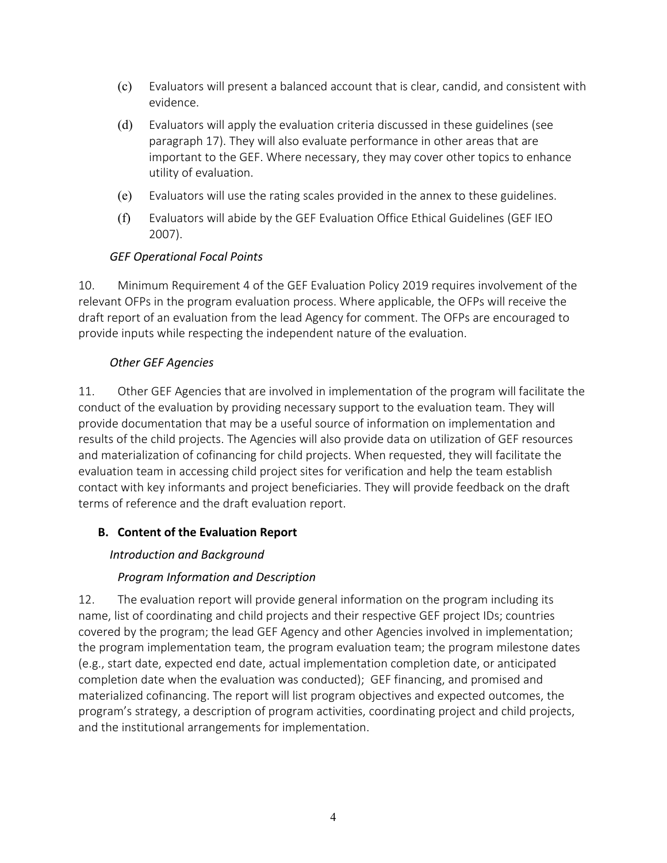- (c) Evaluators will present a balanced account that is clear, candid, and consistent with evidence.
- (d) Evaluators will apply the evaluation criteria discussed in these guidelines (see paragraph 17). They will also evaluate performance in other areas that are important to the GEF. Where necessary, they may cover other topics to enhance utility of evaluation.
- (e) Evaluators will use the rating scales provided in the annex to these guidelines.
- (f) Evaluators will abide by the GEF Evaluation Office Ethical Guidelines (GEF IEO 2007).

## *GEF Operational Focal Points*

<span id="page-6-0"></span>10. Minimum Requirement 4 of the GEF Evaluation Policy 2019 requires involvement of the relevant OFPs in the program evaluation process. Where applicable, the OFPs will receive the draft report of an evaluation from the lead Agency for comment. The OFPs are encouraged to provide inputs while respecting the independent nature of the evaluation.

### *Other GEF Agencies*

<span id="page-6-1"></span>11. Other GEF Agencies that are involved in implementation of the program will facilitate the conduct of the evaluation by providing necessary support to the evaluation team. They will provide documentation that may be a useful source of information on implementation and results of the child projects. The Agencies will also provide data on utilization of GEF resources and materialization of cofinancing for child projects. When requested, they will facilitate the evaluation team in accessing child project sites for verification and help the team establish contact with key informants and project beneficiaries. They will provide feedback on the draft terms of reference and the draft evaluation report.

## <span id="page-6-3"></span><span id="page-6-2"></span>**B. Content of the Evaluation Report**

## *Introduction and Background*

## *Program Information and Description*

12. The evaluation report will provide general information on the program including its name, list of coordinating and child projects and their respective GEF project IDs; countries covered by the program; the lead GEF Agency and other Agencies involved in implementation; the program implementation team, the program evaluation team; the program milestone dates (e.g., start date, expected end date, actual implementation completion date, or anticipated completion date when the evaluation was conducted); GEF financing, and promised and materialized cofinancing. The report will list program objectives and expected outcomes, the program's strategy, a description of program activities, coordinating project and child projects, and the institutional arrangements for implementation.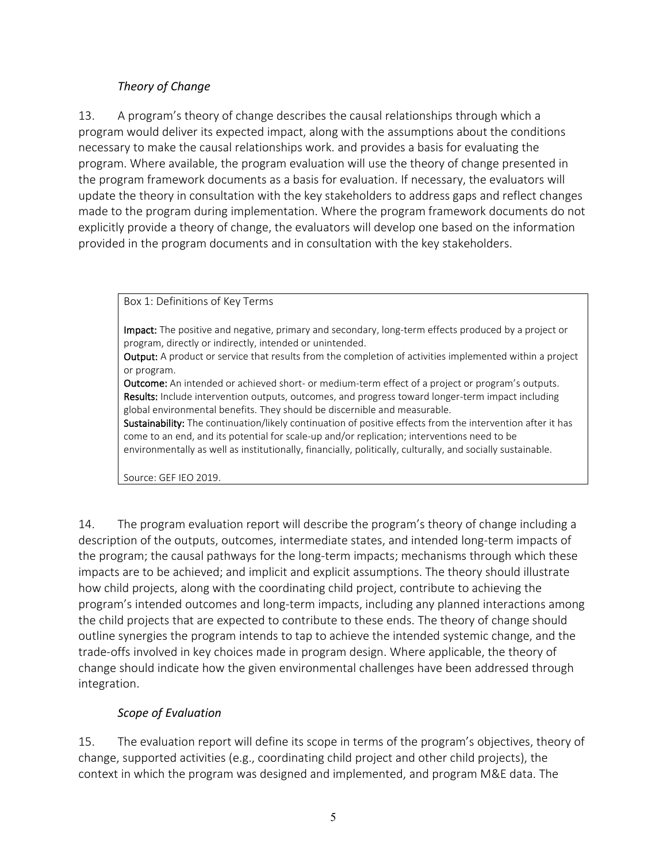## *Theory of Change*

13. A program's theory of change describes the causal relationships through which a program would deliver its expected impact, along with the assumptions about the conditions necessary to make the causal relationships work. and provides a basis for evaluating the program. Where available, the program evaluation will use the theory of change presented in the program framework documents as a basis for evaluation. If necessary, the evaluators will update the theory in consultation with the key stakeholders to address gaps and reflect changes made to the program during implementation. Where the program framework documents do not explicitly provide a theory of change, the evaluators will develop one based on the information provided in the program documents and in consultation with the key stakeholders.

Box 1: Definitions of Key Terms

Impact: The positive and negative, primary and secondary, long-term effects produced by a project or program, directly or indirectly, intended or unintended.

Output: A product or service that results from the completion of activities implemented within a project or program.

Outcome: An intended or achieved short- or medium-term effect of a project or program's outputs. Results: Include intervention outputs, outcomes, and progress toward longer-term impact including global environmental benefits. They should be discernible and measurable.

Sustainability: The continuation/likely continuation of positive effects from the intervention after it has come to an end, and its potential for scale-up and/or replication; interventions need to be environmentally as well as institutionally, financially, politically, culturally, and socially sustainable.

Source: GEF IEO 2019.

14. The program evaluation report will describe the program's theory of change including a description of the outputs, outcomes, intermediate states, and intended long-term impacts of the program; the causal pathways for the long-term impacts; mechanisms through which these impacts are to be achieved; and implicit and explicit assumptions. The theory should illustrate how child projects, along with the coordinating child project, contribute to achieving the program's intended outcomes and long-term impacts, including any planned interactions among the child projects that are expected to contribute to these ends. The theory of change should outline synergies the program intends to tap to achieve the intended systemic change, and the trade-offs involved in key choices made in program design. Where applicable, the theory of change should indicate how the given environmental challenges have been addressed through integration.

## *Scope of Evaluation*

15. The evaluation report will define its scope in terms of the program's objectives, theory of change, supported activities (e.g., coordinating child project and other child projects), the context in which the program was designed and implemented, and program M&E data. The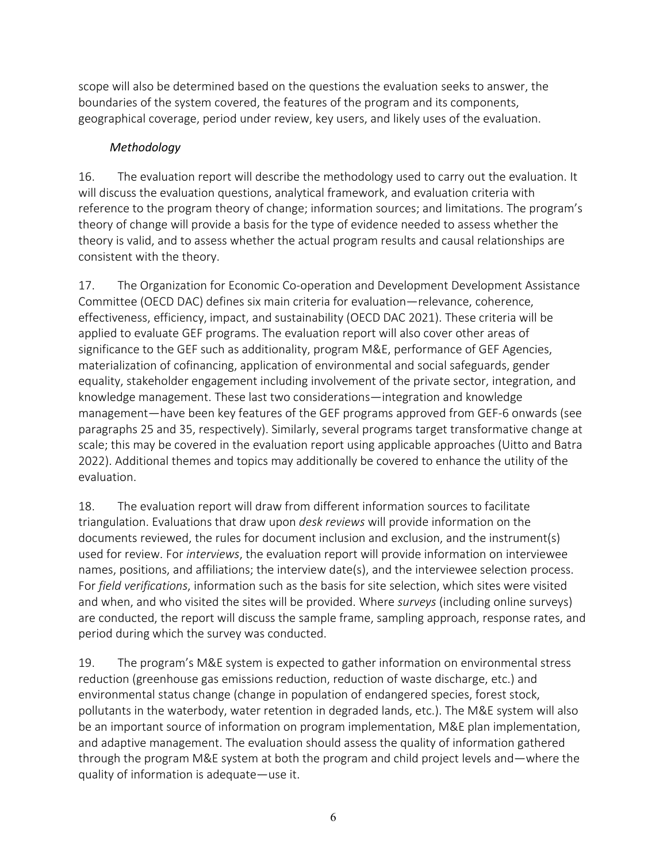scope will also be determined based on the questions the evaluation seeks to answer, the boundaries of the system covered, the features of the program and its components, geographical coverage, period under review, key users, and likely uses of the evaluation.

## *Methodology*

<span id="page-8-0"></span>16. The evaluation report will describe the methodology used to carry out the evaluation. It will discuss the evaluation questions, analytical framework, and evaluation criteria with reference to the program theory of change; information sources; and limitations. The program's theory of change will provide a basis for the type of evidence needed to assess whether the theory is valid, and to assess whether the actual program results and causal relationships are consistent with the theory.

17. The Organization for Economic Co-operation and Development Development Assistance Committee (OECD DAC) defines six main criteria for evaluation—relevance, coherence, effectiveness, efficiency, impact, and sustainability (OECD DAC 2021). These criteria will be applied to evaluate GEF programs. The evaluation report will also cover other areas of significance to the GEF such as additionality, program M&E, performance of GEF Agencies, materialization of cofinancing, application of environmental and social safeguards, gender equality, stakeholder engagement including involvement of the private sector, integration, and knowledge management. These last two considerations—integration and knowledge management—have been key features of the GEF programs approved from GEF-6 onwards (see paragraphs 25 and 35, respectively). Similarly, several programs target transformative change at scale; this may be covered in the evaluation report using applicable approaches (Uitto and Batra 2022). Additional themes and topics may additionally be covered to enhance the utility of the evaluation.

18. The evaluation report will draw from different information sources to facilitate triangulation. Evaluations that draw upon *desk reviews* will provide information on the documents reviewed, the rules for document inclusion and exclusion, and the instrument(s) used for review. For *interviews*, the evaluation report will provide information on interviewee names, positions, and affiliations; the interview date(s), and the interviewee selection process. For *field verifications*, information such as the basis for site selection, which sites were visited and when, and who visited the sites will be provided. Where *surveys* (including online surveys) are conducted, the report will discuss the sample frame, sampling approach, response rates, and period during which the survey was conducted.

19. The program's M&E system is expected to gather information on environmental stress reduction (greenhouse gas emissions reduction, reduction of waste discharge, etc.) and environmental status change (change in population of endangered species, forest stock, pollutants in the waterbody, water retention in degraded lands, etc.). The M&E system will also be an important source of information on program implementation, M&E plan implementation, and adaptive management. The evaluation should assess the quality of information gathered through the program M&E system at both the program and child project levels and—where the quality of information is adequate—use it.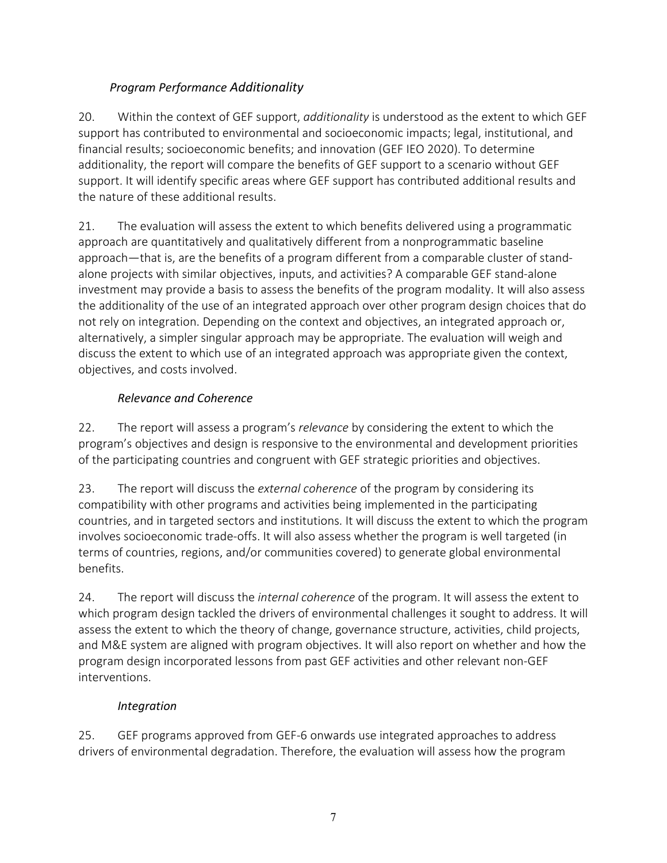## *Program Performance Additionality*

<span id="page-9-0"></span>20. Within the context of GEF support, *additionality* is understood as the extent to which GEF support has contributed to environmental and socioeconomic impacts; legal, institutional, and financial results; socioeconomic benefits; and innovation (GEF IEO 2020). To determine additionality, the report will compare the benefits of GEF support to a scenario without GEF support. It will identify specific areas where GEF support has contributed additional results and the nature of these additional results.

21. The evaluation will assess the extent to which benefits delivered using a programmatic approach are quantitatively and qualitatively different from a nonprogrammatic baseline approach—that is, are the benefits of a program different from a comparable cluster of standalone projects with similar objectives, inputs, and activities? A comparable GEF stand-alone investment may provide a basis to assess the benefits of the program modality. It will also assess the additionality of the use of an integrated approach over other program design choices that do not rely on integration. Depending on the context and objectives, an integrated approach or, alternatively, a simpler singular approach may be appropriate. The evaluation will weigh and discuss the extent to which use of an integrated approach was appropriate given the context, objectives, and costs involved.

## *Relevance and Coherence*

22. The report will assess a program's *relevance* by considering the extent to which the program's objectives and design is responsive to the environmental and development priorities of the participating countries and congruent with GEF strategic priorities and objectives.

23. The report will discuss the *external coherence* of the program by considering its compatibility with other programs and activities being implemented in the participating countries, and in targeted sectors and institutions. It will discuss the extent to which the program involves socioeconomic trade-offs. It will also assess whether the program is well targeted (in terms of countries, regions, and/or communities covered) to generate global environmental benefits.

24. The report will discuss the *internal coherence* of the program. It will assess the extent to which program design tackled the drivers of environmental challenges it sought to address. It will assess the extent to which the theory of change, governance structure, activities, child projects, and M&E system are aligned with program objectives. It will also report on whether and how the program design incorporated lessons from past GEF activities and other relevant non-GEF interventions.

## *Integration*

25. GEF programs approved from GEF-6 onwards use integrated approaches to address drivers of environmental degradation. Therefore, the evaluation will assess how the program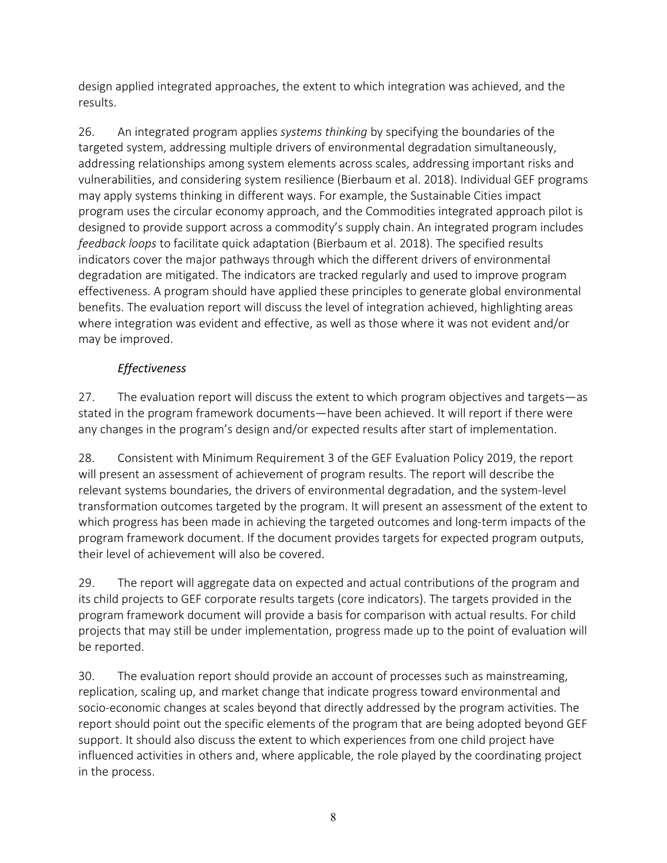design applied integrated approaches, the extent to which integration was achieved, and the results.

26. An integrated program applies *systems thinking* by specifying the boundaries of the targeted system, addressing multiple drivers of environmental degradation simultaneously, addressing relationships among system elements across scales, addressing important risks and vulnerabilities, and considering system resilience (Bierbaum et al. 2018). Individual GEF programs may apply systems thinking in different ways. For example, the Sustainable Cities impact program uses the circular economy approach, and the Commodities integrated approach pilot is designed to provide support across a commodity's supply chain. An integrated program includes *feedback loops* to facilitate quick adaptation (Bierbaum et al. 2018). The specified results indicators cover the major pathways through which the different drivers of environmental degradation are mitigated. The indicators are tracked regularly and used to improve program effectiveness. A program should have applied these principles to generate global environmental benefits. The evaluation report will discuss the level of integration achieved, highlighting areas where integration was evident and effective, as well as those where it was not evident and/or may be improved.

## *Effectiveness*

27. The evaluation report will discuss the extent to which program objectives and targets—as stated in the program framework documents—have been achieved. It will report if there were any changes in the program's design and/or expected results after start of implementation.

28. Consistent with Minimum Requirement 3 of the GEF Evaluation Policy 2019, the report will present an assessment of achievement of program results. The report will describe the relevant systems boundaries, the drivers of environmental degradation, and the system-level transformation outcomes targeted by the program. It will present an assessment of the extent to which progress has been made in achieving the targeted outcomes and long-term impacts of the program framework document. If the document provides targets for expected program outputs, their level of achievement will also be covered.

29. The report will aggregate data on expected and actual contributions of the program and its child projects to GEF corporate results targets (core indicators). The targets provided in the program framework document will provide a basis for comparison with actual results. For child projects that may still be under implementation, progress made up to the point of evaluation will be reported.

30. The evaluation report should provide an account of processes such as mainstreaming, replication, scaling up, and market change that indicate progress toward environmental and socio-economic changes at scales beyond that directly addressed by the program activities. The report should point out the specific elements of the program that are being adopted beyond GEF support. It should also discuss the extent to which experiences from one child project have influenced activities in others and, where applicable, the role played by the coordinating project in the process.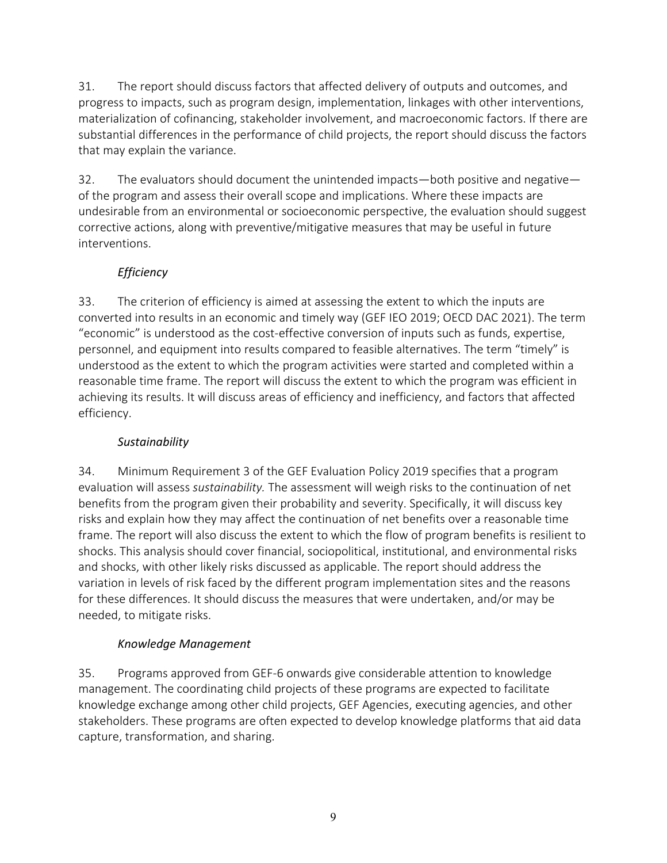31. The report should discuss factors that affected delivery of outputs and outcomes, and progress to impacts, such as program design, implementation, linkages with other interventions, materialization of cofinancing, stakeholder involvement, and macroeconomic factors. If there are substantial differences in the performance of child projects, the report should discuss the factors that may explain the variance.

32. The evaluators should document the unintended impacts—both positive and negative of the program and assess their overall scope and implications. Where these impacts are undesirable from an environmental or socioeconomic perspective, the evaluation should suggest corrective actions, along with preventive/mitigative measures that may be useful in future interventions.

## *Efficiency*

33. The criterion of efficiency is aimed at assessing the extent to which the inputs are converted into results in an economic and timely way (GEF IEO 2019; OECD DAC 2021). The term "economic" is understood as the cost-effective conversion of inputs such as funds, expertise, personnel, and equipment into results compared to feasible alternatives. The term "timely" is understood as the extent to which the program activities were started and completed within a reasonable time frame. The report will discuss the extent to which the program was efficient in achieving its results. It will discuss areas of efficiency and inefficiency, and factors that affected efficiency.

## *Sustainability*

34. Minimum Requirement 3 of the GEF Evaluation Policy 2019 specifies that a program evaluation will assess *sustainability.* The assessment will weigh risks to the continuation of net benefits from the program given their probability and severity. Specifically, it will discuss key risks and explain how they may affect the continuation of net benefits over a reasonable time frame. The report will also discuss the extent to which the flow of program benefits is resilient to shocks. This analysis should cover financial, sociopolitical, institutional, and environmental risks and shocks, with other likely risks discussed as applicable. The report should address the variation in levels of risk faced by the different program implementation sites and the reasons for these differences. It should discuss the measures that were undertaken, and/or may be needed, to mitigate risks.

## *Knowledge Management*

35. Programs approved from GEF-6 onwards give considerable attention to knowledge management. The coordinating child projects of these programs are expected to facilitate knowledge exchange among other child projects, GEF Agencies, executing agencies, and other stakeholders. These programs are often expected to develop knowledge platforms that aid data capture, transformation, and sharing.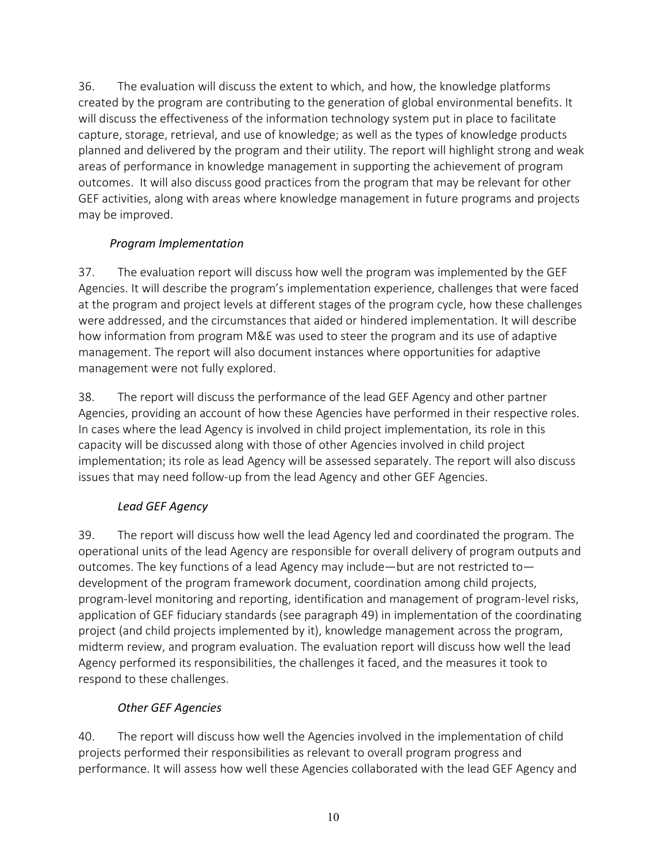36. The evaluation will discuss the extent to which, and how, the knowledge platforms created by the program are contributing to the generation of global environmental benefits. It will discuss the effectiveness of the information technology system put in place to facilitate capture, storage, retrieval, and use of knowledge; as well as the types of knowledge products planned and delivered by the program and their utility. The report will highlight strong and weak areas of performance in knowledge management in supporting the achievement of program outcomes. It will also discuss good practices from the program that may be relevant for other GEF activities, along with areas where knowledge management in future programs and projects may be improved.

## *Program Implementation*

<span id="page-12-0"></span>37. The evaluation report will discuss how well the program was implemented by the GEF Agencies. It will describe the program's implementation experience, challenges that were faced at the program and project levels at different stages of the program cycle, how these challenges were addressed, and the circumstances that aided or hindered implementation. It will describe how information from program M&E was used to steer the program and its use of adaptive management. The report will also document instances where opportunities for adaptive management were not fully explored.

38. The report will discuss the performance of the lead GEF Agency and other partner Agencies, providing an account of how these Agencies have performed in their respective roles. In cases where the lead Agency is involved in child project implementation, its role in this capacity will be discussed along with those of other Agencies involved in child project implementation; its role as lead Agency will be assessed separately. The report will also discuss issues that may need follow-up from the lead Agency and other GEF Agencies.

## *Lead GEF Agency*

39. The report will discuss how well the lead Agency led and coordinated the program. The operational units of the lead Agency are responsible for overall delivery of program outputs and outcomes. The key functions of a lead Agency may include—but are not restricted to development of the program framework document, coordination among child projects, program-level monitoring and reporting, identification and management of program-level risks, application of GEF fiduciary standards (see paragraph 49) in implementation of the coordinating project (and child projects implemented by it), knowledge management across the program, midterm review, and program evaluation. The evaluation report will discuss how well the lead Agency performed its responsibilities, the challenges it faced, and the measures it took to respond to these challenges.

## *Other GEF Agencies*

40. The report will discuss how well the Agencies involved in the implementation of child projects performed their responsibilities as relevant to overall program progress and performance. It will assess how well these Agencies collaborated with the lead GEF Agency and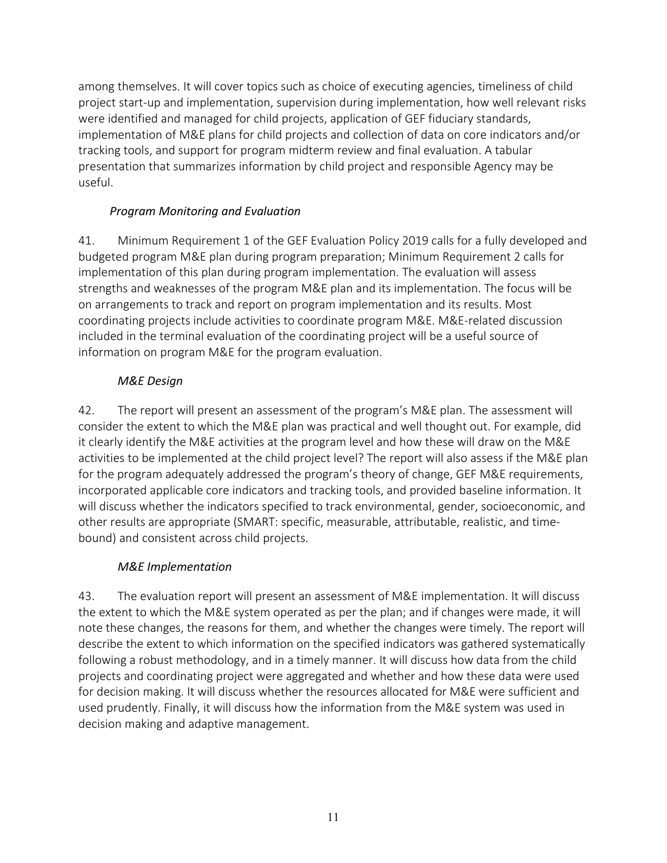among themselves. It will cover topics such as choice of executing agencies, timeliness of child project start-up and implementation, supervision during implementation, how well relevant risks were identified and managed for child projects, application of GEF fiduciary standards, implementation of M&E plans for child projects and collection of data on core indicators and/or tracking tools, and support for program midterm review and final evaluation. A tabular presentation that summarizes information by child project and responsible Agency may be useful.

## *Program Monitoring and Evaluation*

<span id="page-13-0"></span>41. Minimum Requirement 1 of the GEF Evaluation Policy 2019 calls for a fully developed and budgeted program M&E plan during program preparation; Minimum Requirement 2 calls for implementation of this plan during program implementation. The evaluation will assess strengths and weaknesses of the program M&E plan and its implementation. The focus will be on arrangements to track and report on program implementation and its results. Most coordinating projects include activities to coordinate program M&E. M&E-related discussion included in the terminal evaluation of the coordinating project will be a useful source of information on program M&E for the program evaluation.

## *M&E Design*

42. The report will present an assessment of the program's M&E plan. The assessment will consider the extent to which the M&E plan was practical and well thought out. For example, did it clearly identify the M&E activities at the program level and how these will draw on the M&E activities to be implemented at the child project level? The report will also assess if the M&E plan for the program adequately addressed the program's theory of change, GEF M&E requirements, incorporated applicable core indicators and tracking tools, and provided baseline information. It will discuss whether the indicators specified to track environmental, gender, socioeconomic, and other results are appropriate (SMART: specific, measurable, attributable, realistic, and timebound) and consistent across child projects.

## *M&E Implementation*

43. The evaluation report will present an assessment of M&E implementation. It will discuss the extent to which the M&E system operated as per the plan; and if changes were made, it will note these changes, the reasons for them, and whether the changes were timely. The report will describe the extent to which information on the specified indicators was gathered systematically following a robust methodology, and in a timely manner. It will discuss how data from the child projects and coordinating project were aggregated and whether and how these data were used for decision making. It will discuss whether the resources allocated for M&E were sufficient and used prudently. Finally, it will discuss how the information from the M&E system was used in decision making and adaptive management.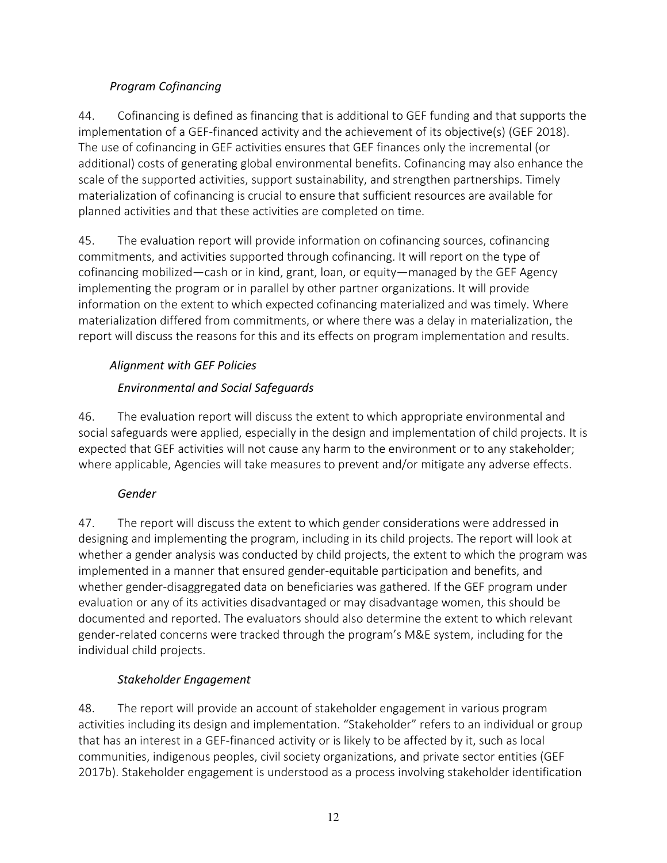## *Program Cofinancing*

<span id="page-14-0"></span>44. Cofinancing is defined as financing that is additional to GEF funding and that supports the implementation of a GEF-financed activity and the achievement of its objective(s) (GEF 2018). The use of cofinancing in GEF activities ensures that GEF finances only the incremental (or additional) costs of generating global environmental benefits. Cofinancing may also enhance the scale of the supported activities, support sustainability, and strengthen partnerships. Timely materialization of cofinancing is crucial to ensure that sufficient resources are available for planned activities and that these activities are completed on time.

45. The evaluation report will provide information on cofinancing sources, cofinancing commitments, and activities supported through cofinancing. It will report on the type of cofinancing mobilized—cash or in kind, grant, loan, or equity—managed by the GEF Agency implementing the program or in parallel by other partner organizations. It will provide information on the extent to which expected cofinancing materialized and was timely. Where materialization differed from commitments, or where there was a delay in materialization, the report will discuss the reasons for this and its effects on program implementation and results.

## <span id="page-14-1"></span>*Alignment with GEF Policies*

## *Environmental and Social Safeguards*

46. The evaluation report will discuss the extent to which appropriate environmental and social safeguards were applied, especially in the design and implementation of child projects. It is expected that GEF activities will not cause any harm to the environment or to any stakeholder; where applicable, Agencies will take measures to prevent and/or mitigate any adverse effects.

## *Gender*

47. The report will discuss the extent to which gender considerations were addressed in designing and implementing the program, including in its child projects. The report will look at whether a gender analysis was conducted by child projects, the extent to which the program was implemented in a manner that ensured gender-equitable participation and benefits, and whether gender-disaggregated data on beneficiaries was gathered. If the GEF program under evaluation or any of its activities disadvantaged or may disadvantage women, this should be documented and reported. The evaluators should also determine the extent to which relevant gender-related concerns were tracked through the program's M&E system, including for the individual child projects.

## *Stakeholder Engagement*

48. The report will provide an account of stakeholder engagement in various program activities including its design and implementation. "Stakeholder" refers to an individual or group that has an interest in a GEF-financed activity or is likely to be affected by it, such as local communities, indigenous peoples, civil society organizations, and private sector entities (GEF 2017b). Stakeholder engagement is understood as a process involving stakeholder identification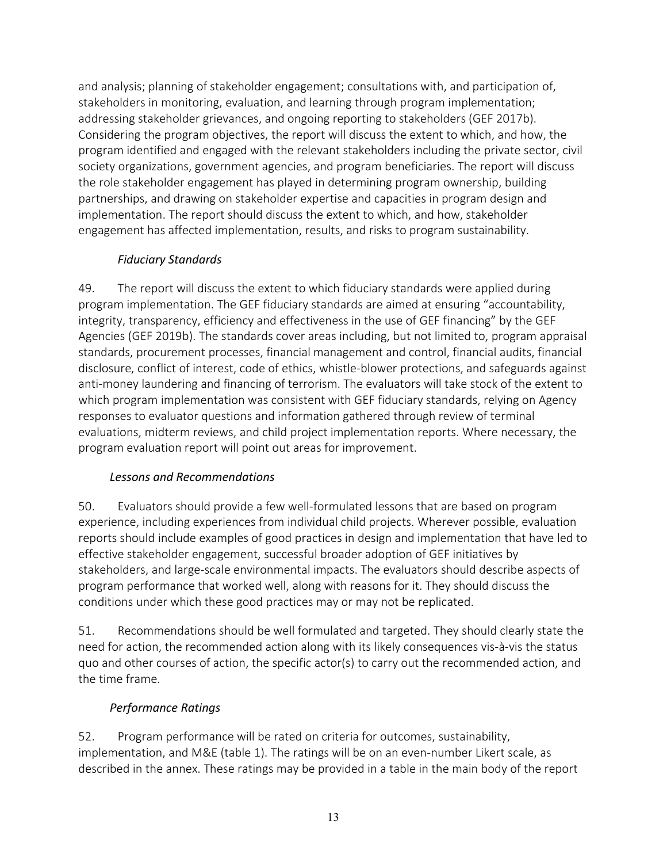and analysis; planning of stakeholder engagement; consultations with, and participation of, stakeholders in monitoring, evaluation, and learning through program implementation; addressing stakeholder grievances, and ongoing reporting to stakeholders (GEF 2017b). Considering the program objectives, the report will discuss the extent to which, and how, the program identified and engaged with the relevant stakeholders including the private sector, civil society organizations, government agencies, and program beneficiaries. The report will discuss the role stakeholder engagement has played in determining program ownership, building partnerships, and drawing on stakeholder expertise and capacities in program design and implementation. The report should discuss the extent to which, and how, stakeholder engagement has affected implementation, results, and risks to program sustainability.

## *Fiduciary Standards*

49. The report will discuss the extent to which fiduciary standards were applied during program implementation. The GEF fiduciary standards are aimed at ensuring "accountability, integrity, transparency, efficiency and effectiveness in the use of GEF financing" by the GEF Agencies (GEF 2019b). The standards cover areas including, but not limited to, program appraisal standards, procurement processes, financial management and control, financial audits, financial disclosure, conflict of interest, code of ethics, whistle-blower protections, and safeguards against anti-money laundering and financing of terrorism. The evaluators will take stock of the extent to which program implementation was consistent with GEF fiduciary standards, relying on Agency responses to evaluator questions and information gathered through review of terminal evaluations, midterm reviews, and child project implementation reports. Where necessary, the program evaluation report will point out areas for improvement.

## *Lessons and Recommendations*

<span id="page-15-0"></span>50. Evaluators should provide a few well-formulated lessons that are based on program experience, including experiences from individual child projects. Wherever possible, evaluation reports should include examples of good practices in design and implementation that have led to effective stakeholder engagement, successful broader adoption of GEF initiatives by stakeholders, and large-scale environmental impacts. The evaluators should describe aspects of program performance that worked well, along with reasons for it. They should discuss the conditions under which these good practices may or may not be replicated.

51. Recommendations should be well formulated and targeted. They should clearly state the need for action, the recommended action along with its likely consequences vis-à-vis the status quo and other courses of action, the specific actor(s) to carry out the recommended action, and the time frame.

## *Performance Ratings*

<span id="page-15-1"></span>52. Program performance will be rated on criteria for outcomes, sustainability, implementation, and M&E (table 1). The ratings will be on an even-number Likert scale, as described in the annex. These ratings may be provided in a table in the main body of the report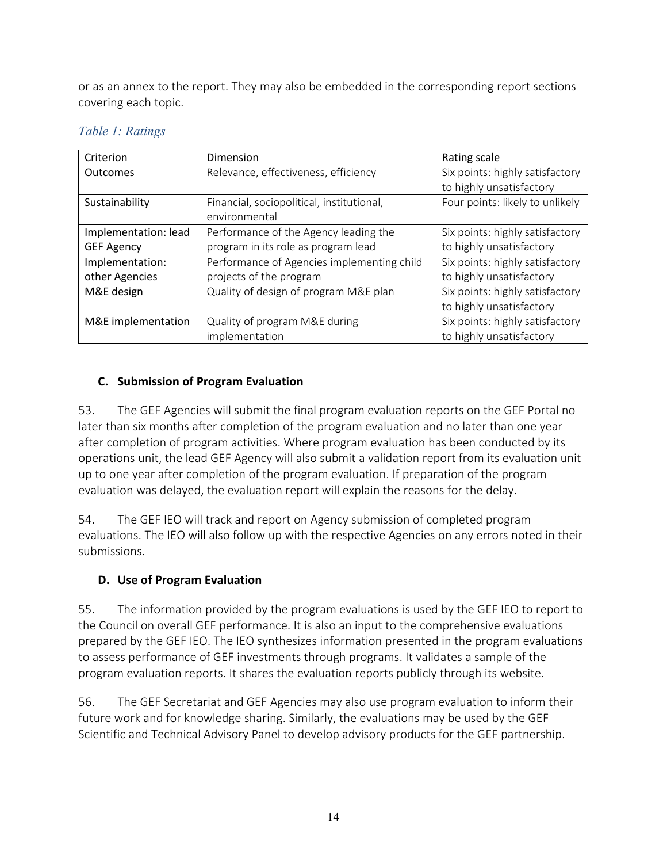or as an annex to the report. They may also be embedded in the corresponding report sections covering each topic.

| Criterion            | Dimension                                  | Rating scale                    |
|----------------------|--------------------------------------------|---------------------------------|
| Outcomes             | Relevance, effectiveness, efficiency       | Six points: highly satisfactory |
|                      |                                            | to highly unsatisfactory        |
| Sustainability       | Financial, sociopolitical, institutional,  | Four points: likely to unlikely |
|                      | environmental                              |                                 |
| Implementation: lead | Performance of the Agency leading the      | Six points: highly satisfactory |
| <b>GEF Agency</b>    | program in its role as program lead        | to highly unsatisfactory        |
| Implementation:      | Performance of Agencies implementing child | Six points: highly satisfactory |
| other Agencies       | projects of the program                    | to highly unsatisfactory        |
| M&E design           | Quality of design of program M&E plan      | Six points: highly satisfactory |
|                      |                                            | to highly unsatisfactory        |
| M&E implementation   | Quality of program M&E during              | Six points: highly satisfactory |
|                      | implementation                             | to highly unsatisfactory        |

## <span id="page-16-2"></span>*Table 1: Ratings*

### <span id="page-16-0"></span>**C. Submission of Program Evaluation**

53. The GEF Agencies will submit the final program evaluation reports on the GEF Portal no later than six months after completion of the program evaluation and no later than one year after completion of program activities. Where program evaluation has been conducted by its operations unit, the lead GEF Agency will also submit a validation report from its evaluation unit up to one year after completion of the program evaluation. If preparation of the program evaluation was delayed, the evaluation report will explain the reasons for the delay.

54. The GEF IEO will track and report on Agency submission of completed program evaluations. The IEO will also follow up with the respective Agencies on any errors noted in their submissions.

## <span id="page-16-1"></span>**D. Use of Program Evaluation**

55. The information provided by the program evaluations is used by the GEF IEO to report to the Council on overall GEF performance. It is also an input to the comprehensive evaluations prepared by the GEF IEO. The IEO synthesizes information presented in the program evaluations to assess performance of GEF investments through programs. It validates a sample of the program evaluation reports. It shares the evaluation reports publicly through its website.

56. The GEF Secretariat and GEF Agencies may also use program evaluation to inform their future work and for knowledge sharing. Similarly, the evaluations may be used by the GEF Scientific and Technical Advisory Panel to develop advisory products for the GEF partnership.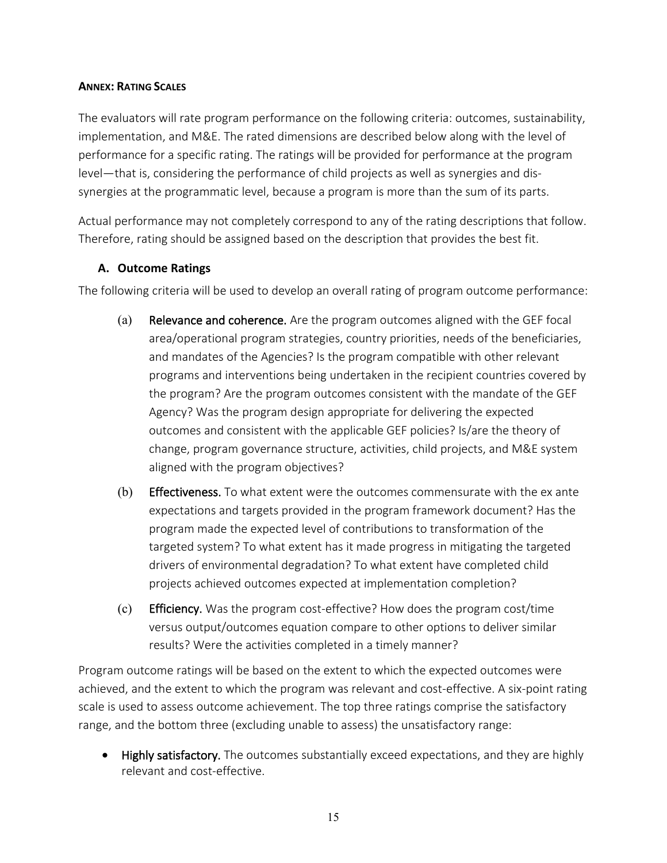#### <span id="page-17-0"></span>**ANNEX: RATING SCALES**

The evaluators will rate program performance on the following criteria: outcomes, sustainability, implementation, and M&E. The rated dimensions are described below along with the level of performance for a specific rating. The ratings will be provided for performance at the program level—that is, considering the performance of child projects as well as synergies and dissynergies at the programmatic level, because a program is more than the sum of its parts.

Actual performance may not completely correspond to any of the rating descriptions that follow. Therefore, rating should be assigned based on the description that provides the best fit.

#### <span id="page-17-1"></span>**A. Outcome Ratings**

The following criteria will be used to develop an overall rating of program outcome performance:

- (a) Relevance and coherence. Are the program outcomes aligned with the GEF focal area/operational program strategies, country priorities, needs of the beneficiaries, and mandates of the Agencies? Is the program compatible with other relevant programs and interventions being undertaken in the recipient countries covered by the program? Are the program outcomes consistent with the mandate of the GEF Agency? Was the program design appropriate for delivering the expected outcomes and consistent with the applicable GEF policies? Is/are the theory of change, program governance structure, activities, child projects, and M&E system aligned with the program objectives?
- (b) Effectiveness. To what extent were the outcomes commensurate with the ex ante expectations and targets provided in the program framework document? Has the program made the expected level of contributions to transformation of the targeted system? To what extent has it made progress in mitigating the targeted drivers of environmental degradation? To what extent have completed child projects achieved outcomes expected at implementation completion?
- (c) Efficiency. Was the program cost-effective? How does the program cost/time versus output/outcomes equation compare to other options to deliver similar results? Were the activities completed in a timely manner?

Program outcome ratings will be based on the extent to which the expected outcomes were achieved, and the extent to which the program was relevant and cost-effective. A six-point rating scale is used to assess outcome achievement. The top three ratings comprise the satisfactory range, and the bottom three (excluding unable to assess) the unsatisfactory range:

• Highly satisfactory. The outcomes substantially exceed expectations, and they are highly relevant and cost-effective.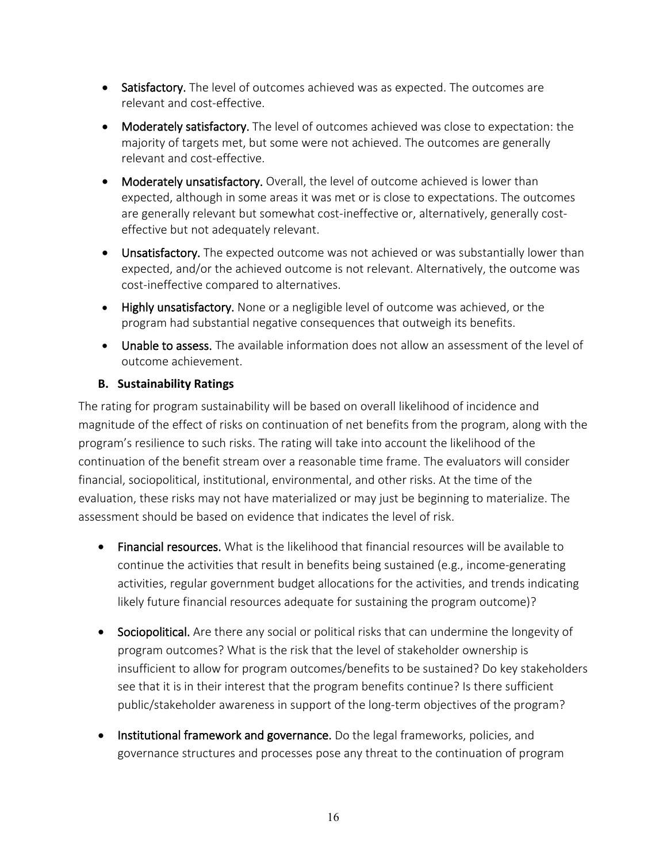- Satisfactory. The level of outcomes achieved was as expected. The outcomes are relevant and cost-effective.
- Moderately satisfactory. The level of outcomes achieved was close to expectation: the majority of targets met, but some were not achieved. The outcomes are generally relevant and cost-effective.
- Moderately unsatisfactory. Overall, the level of outcome achieved is lower than expected, although in some areas it was met or is close to expectations. The outcomes are generally relevant but somewhat cost-ineffective or, alternatively, generally costeffective but not adequately relevant.
- Unsatisfactory. The expected outcome was not achieved or was substantially lower than expected, and/or the achieved outcome is not relevant. Alternatively, the outcome was cost-ineffective compared to alternatives.
- Highly unsatisfactory. None or a negligible level of outcome was achieved, or the program had substantial negative consequences that outweigh its benefits.
- Unable to assess. The available information does not allow an assessment of the level of outcome achievement.

### <span id="page-18-0"></span>**B. Sustainability Ratings**

The rating for program sustainability will be based on overall likelihood of incidence and magnitude of the effect of risks on continuation of net benefits from the program, along with the program's resilience to such risks. The rating will take into account the likelihood of the continuation of the benefit stream over a reasonable time frame. The evaluators will consider financial, sociopolitical, institutional, environmental, and other risks. At the time of the evaluation, these risks may not have materialized or may just be beginning to materialize. The assessment should be based on evidence that indicates the level of risk.

- Financial resources. What is the likelihood that financial resources will be available to continue the activities that result in benefits being sustained (e.g., income-generating activities, regular government budget allocations for the activities, and trends indicating likely future financial resources adequate for sustaining the program outcome)?
- Sociopolitical. Are there any social or political risks that can undermine the longevity of program outcomes? What is the risk that the level of stakeholder ownership is insufficient to allow for program outcomes/benefits to be sustained? Do key stakeholders see that it is in their interest that the program benefits continue? Is there sufficient public/stakeholder awareness in support of the long-term objectives of the program?
- Institutional framework and governance. Do the legal frameworks, policies, and governance structures and processes pose any threat to the continuation of program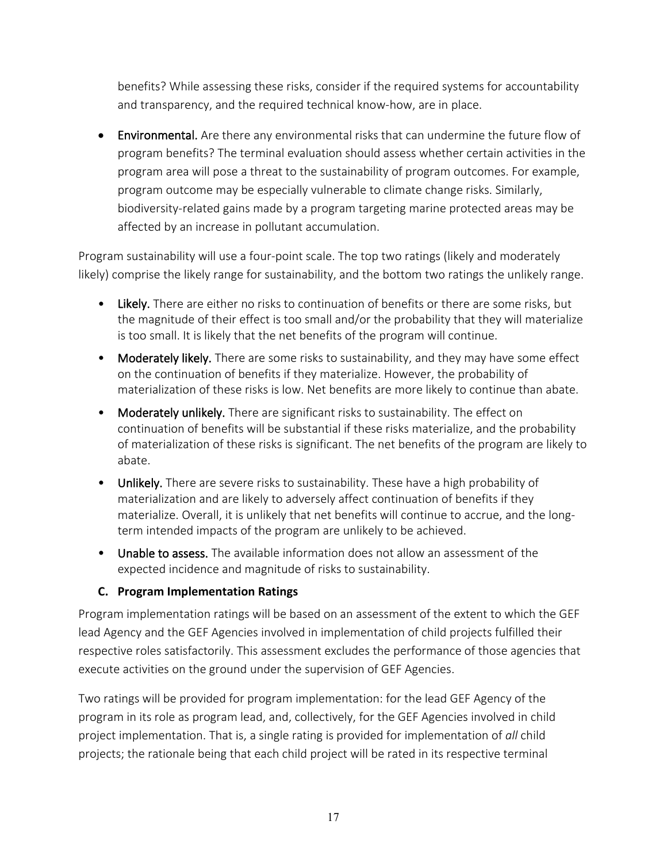benefits? While assessing these risks, consider if the required systems for accountability and transparency, and the required technical know-how, are in place.

• Environmental. Are there any environmental risks that can undermine the future flow of program benefits? The terminal evaluation should assess whether certain activities in the program area will pose a threat to the sustainability of program outcomes. For example, program outcome may be especially vulnerable to climate change risks. Similarly, biodiversity-related gains made by a program targeting marine protected areas may be affected by an increase in pollutant accumulation.

Program sustainability will use a four-point scale. The top two ratings (likely and moderately likely) comprise the likely range for sustainability, and the bottom two ratings the unlikely range.

- Likely. There are either no risks to continuation of benefits or there are some risks, but the magnitude of their effect is too small and/or the probability that they will materialize is too small. It is likely that the net benefits of the program will continue.
- Moderately likely. There are some risks to sustainability, and they may have some effect on the continuation of benefits if they materialize. However, the probability of materialization of these risks is low. Net benefits are more likely to continue than abate.
- Moderately unlikely. There are significant risks to sustainability. The effect on continuation of benefits will be substantial if these risks materialize, and the probability of materialization of these risks is significant. The net benefits of the program are likely to abate.
- Unlikely. There are severe risks to sustainability. These have a high probability of materialization and are likely to adversely affect continuation of benefits if they materialize. Overall, it is unlikely that net benefits will continue to accrue, and the longterm intended impacts of the program are unlikely to be achieved.
- Unable to assess. The available information does not allow an assessment of the expected incidence and magnitude of risks to sustainability.

#### <span id="page-19-0"></span>**C. Program Implementation Ratings**

Program implementation ratings will be based on an assessment of the extent to which the GEF lead Agency and the GEF Agencies involved in implementation of child projects fulfilled their respective roles satisfactorily. This assessment excludes the performance of those agencies that execute activities on the ground under the supervision of GEF Agencies.

Two ratings will be provided for program implementation: for the lead GEF Agency of the program in its role as program lead, and, collectively, for the GEF Agencies involved in child project implementation. That is, a single rating is provided for implementation of *all* child projects; the rationale being that each child project will be rated in its respective terminal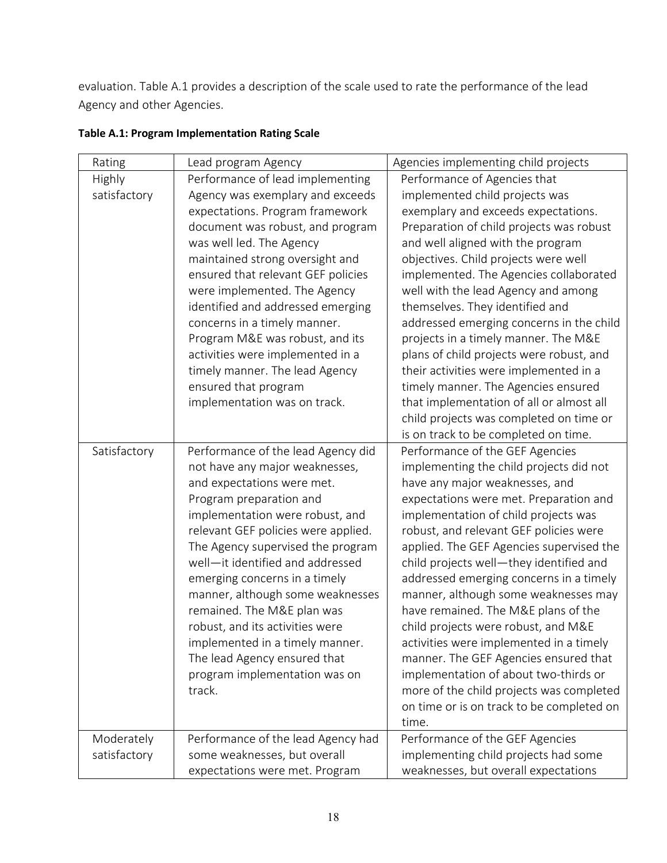evaluation. Table A.1 provides a description of the scale used to rate the performance of the lead Agency and other Agencies.

| Rating        | Lead program Agency                 | Agencies implementing child projects      |
|---------------|-------------------------------------|-------------------------------------------|
| <b>Highly</b> | Performance of lead implementing    | Performance of Agencies that              |
| satisfactory  | Agency was exemplary and exceeds    | implemented child projects was            |
|               | expectations. Program framework     | exemplary and exceeds expectations.       |
|               | document was robust, and program    | Preparation of child projects was robust  |
|               | was well led. The Agency            | and well aligned with the program         |
|               | maintained strong oversight and     | objectives. Child projects were well      |
|               | ensured that relevant GEF policies  | implemented. The Agencies collaborated    |
|               | were implemented. The Agency        | well with the lead Agency and among       |
|               | identified and addressed emerging   | themselves. They identified and           |
|               | concerns in a timely manner.        | addressed emerging concerns in the child  |
|               | Program M&E was robust, and its     | projects in a timely manner. The M&E      |
|               | activities were implemented in a    | plans of child projects were robust, and  |
|               | timely manner. The lead Agency      | their activities were implemented in a    |
|               | ensured that program                | timely manner. The Agencies ensured       |
|               | implementation was on track.        | that implementation of all or almost all  |
|               |                                     | child projects was completed on time or   |
|               |                                     | is on track to be completed on time.      |
| Satisfactory  | Performance of the lead Agency did  | Performance of the GEF Agencies           |
|               | not have any major weaknesses,      | implementing the child projects did not   |
|               | and expectations were met.          | have any major weaknesses, and            |
|               | Program preparation and             | expectations were met. Preparation and    |
|               | implementation were robust, and     | implementation of child projects was      |
|               | relevant GEF policies were applied. | robust, and relevant GEF policies were    |
|               | The Agency supervised the program   | applied. The GEF Agencies supervised the  |
|               | well-it identified and addressed    | child projects well-they identified and   |
|               | emerging concerns in a timely       | addressed emerging concerns in a timely   |
|               | manner, although some weaknesses    | manner, although some weaknesses may      |
|               | remained. The M&E plan was          | have remained. The M&E plans of the       |
|               | robust, and its activities were     | child projects were robust, and M&E       |
|               | implemented in a timely manner.     | activities were implemented in a timely   |
|               | The lead Agency ensured that        | manner. The GEF Agencies ensured that     |
|               | program implementation was on       | implementation of about two-thirds or     |
|               | track.                              | more of the child projects was completed  |
|               |                                     | on time or is on track to be completed on |
|               |                                     | time.                                     |
| Moderately    | Performance of the lead Agency had  | Performance of the GEF Agencies           |
| satisfactory  | some weaknesses, but overall        | implementing child projects had some      |
|               | expectations were met. Program      | weaknesses, but overall expectations      |

### **Table A.1: Program Implementation Rating Scale**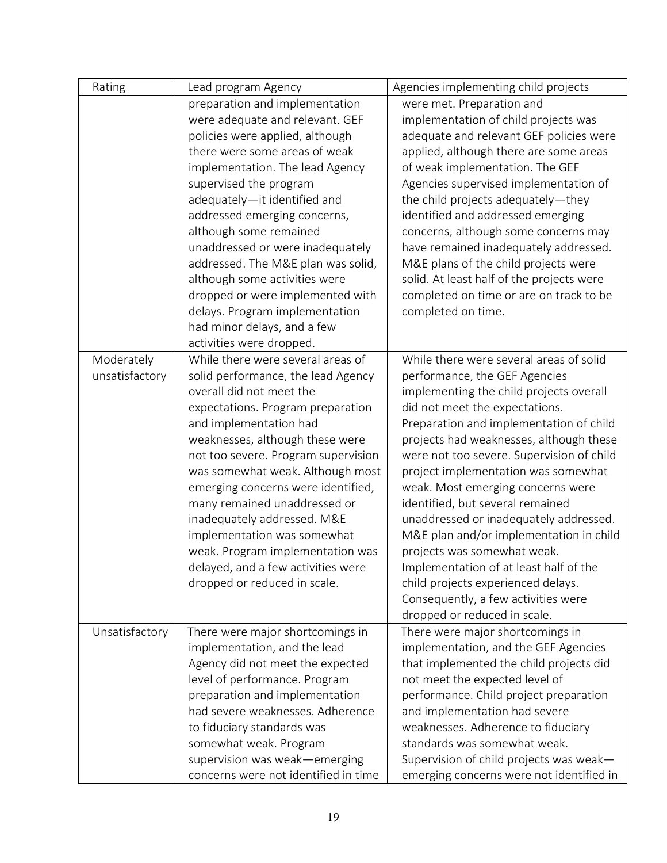| Rating         | Lead program Agency                  | Agencies implementing child projects      |
|----------------|--------------------------------------|-------------------------------------------|
|                | preparation and implementation       | were met. Preparation and                 |
|                | were adequate and relevant. GEF      | implementation of child projects was      |
|                | policies were applied, although      | adequate and relevant GEF policies were   |
|                | there were some areas of weak        | applied, although there are some areas    |
|                | implementation. The lead Agency      | of weak implementation. The GEF           |
|                | supervised the program               | Agencies supervised implementation of     |
|                | adequately-it identified and         | the child projects adequately-they        |
|                | addressed emerging concerns,         | identified and addressed emerging         |
|                | although some remained               | concerns, although some concerns may      |
|                | unaddressed or were inadequately     | have remained inadequately addressed.     |
|                | addressed. The M&E plan was solid,   | M&E plans of the child projects were      |
|                | although some activities were        | solid. At least half of the projects were |
|                | dropped or were implemented with     | completed on time or are on track to be   |
|                | delays. Program implementation       | completed on time.                        |
|                | had minor delays, and a few          |                                           |
|                | activities were dropped.             |                                           |
| Moderately     | While there were several areas of    | While there were several areas of solid   |
| unsatisfactory | solid performance, the lead Agency   | performance, the GEF Agencies             |
|                | overall did not meet the             | implementing the child projects overall   |
|                | expectations. Program preparation    | did not meet the expectations.            |
|                | and implementation had               | Preparation and implementation of child   |
|                | weaknesses, although these were      | projects had weaknesses, although these   |
|                | not too severe. Program supervision  | were not too severe. Supervision of child |
|                | was somewhat weak. Although most     | project implementation was somewhat       |
|                | emerging concerns were identified,   | weak. Most emerging concerns were         |
|                | many remained unaddressed or         | identified, but several remained          |
|                | inadequately addressed. M&E          | unaddressed or inadequately addressed.    |
|                | implementation was somewhat          | M&E plan and/or implementation in child   |
|                | weak. Program implementation was     | projects was somewhat weak.               |
|                | delayed, and a few activities were   | Implementation of at least half of the    |
|                | dropped or reduced in scale.         | child projects experienced delays.        |
|                |                                      | Consequently, a few activities were       |
|                |                                      | dropped or reduced in scale.              |
| Unsatisfactory | There were major shortcomings in     | There were major shortcomings in          |
|                | implementation, and the lead         | implementation, and the GEF Agencies      |
|                | Agency did not meet the expected     | that implemented the child projects did   |
|                | level of performance. Program        | not meet the expected level of            |
|                | preparation and implementation       | performance. Child project preparation    |
|                | had severe weaknesses. Adherence     | and implementation had severe             |
|                | to fiduciary standards was           | weaknesses. Adherence to fiduciary        |
|                | somewhat weak. Program               | standards was somewhat weak.              |
|                |                                      |                                           |
|                | supervision was weak-emerging        | Supervision of child projects was weak-   |
|                | concerns were not identified in time | emerging concerns were not identified in  |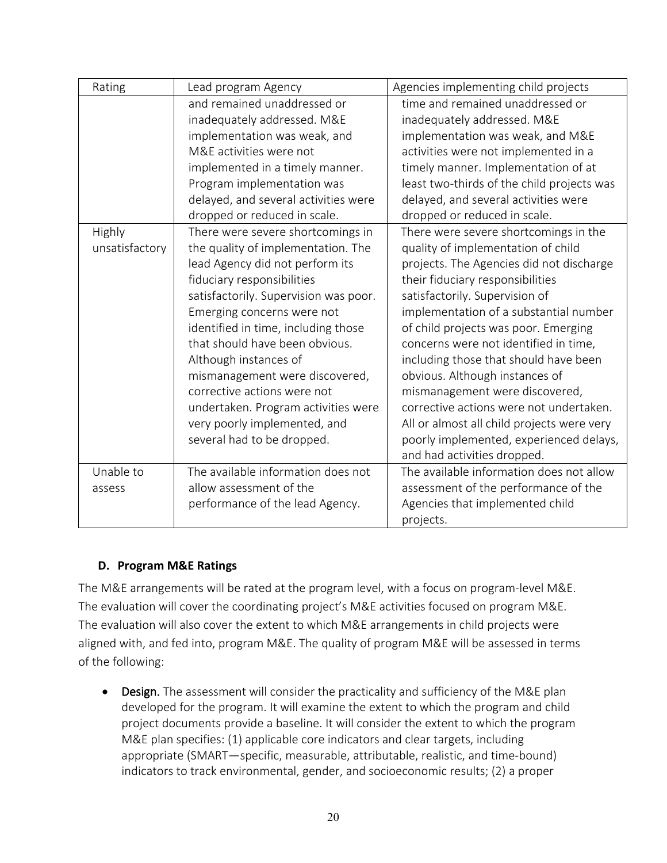| Rating         | Lead program Agency                   | Agencies implementing child projects       |
|----------------|---------------------------------------|--------------------------------------------|
|                | and remained unaddressed or           | time and remained unaddressed or           |
|                | inadequately addressed. M&E           | inadequately addressed. M&E                |
|                | implementation was weak, and          | implementation was weak, and M&E           |
|                | M&E activities were not               | activities were not implemented in a       |
|                | implemented in a timely manner.       | timely manner. Implementation of at        |
|                | Program implementation was            | least two-thirds of the child projects was |
|                | delayed, and several activities were  | delayed, and several activities were       |
|                | dropped or reduced in scale.          | dropped or reduced in scale.               |
| Highly         | There were severe shortcomings in     | There were severe shortcomings in the      |
| unsatisfactory | the quality of implementation. The    | quality of implementation of child         |
|                | lead Agency did not perform its       | projects. The Agencies did not discharge   |
|                | fiduciary responsibilities            | their fiduciary responsibilities           |
|                | satisfactorily. Supervision was poor. | satisfactorily. Supervision of             |
|                | Emerging concerns were not            | implementation of a substantial number     |
|                | identified in time, including those   | of child projects was poor. Emerging       |
|                | that should have been obvious.        | concerns were not identified in time,      |
|                | Although instances of                 | including those that should have been      |
|                | mismanagement were discovered,        | obvious. Although instances of             |
|                | corrective actions were not           | mismanagement were discovered,             |
|                | undertaken. Program activities were   | corrective actions were not undertaken.    |
|                | very poorly implemented, and          | All or almost all child projects were very |
|                | several had to be dropped.            | poorly implemented, experienced delays,    |
|                |                                       | and had activities dropped.                |
| Unable to      | The available information does not    | The available information does not allow   |
| assess         | allow assessment of the               | assessment of the performance of the       |
|                | performance of the lead Agency.       | Agencies that implemented child            |
|                |                                       | projects.                                  |

#### <span id="page-22-0"></span>**D. Program M&E Ratings**

The M&E arrangements will be rated at the program level, with a focus on program-level M&E. The evaluation will cover the coordinating project's M&E activities focused on program M&E. The evaluation will also cover the extent to which M&E arrangements in child projects were aligned with, and fed into, program M&E. The quality of program M&E will be assessed in terms of the following:

• Design. The assessment will consider the practicality and sufficiency of the M&E plan developed for the program. It will examine the extent to which the program and child project documents provide a baseline. It will consider the extent to which the program M&E plan specifies: (1) applicable core indicators and clear targets, including appropriate (SMART—specific, measurable, attributable, realistic, and time-bound) indicators to track environmental, gender, and socioeconomic results; (2) a proper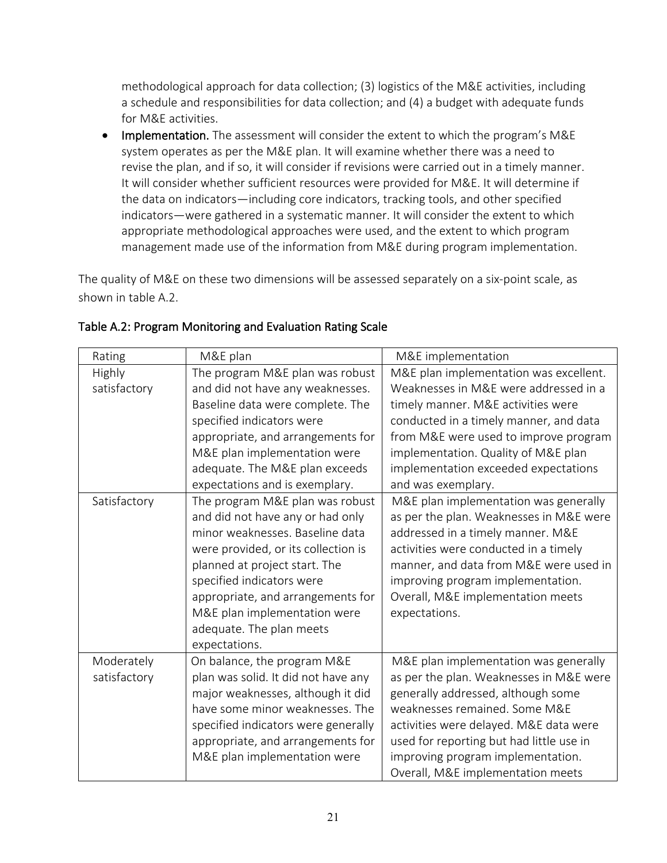methodological approach for data collection; (3) logistics of the M&E activities, including a schedule and responsibilities for data collection; and (4) a budget with adequate funds for M&E activities.

• Implementation. The assessment will consider the extent to which the program's M&E system operates as per the M&E plan. It will examine whether there was a need to revise the plan, and if so, it will consider if revisions were carried out in a timely manner. It will consider whether sufficient resources were provided for M&E. It will determine if the data on indicators—including core indicators, tracking tools, and other specified indicators—were gathered in a systematic manner. It will consider the extent to which appropriate methodological approaches were used, and the extent to which program management made use of the information from M&E during program implementation.

The quality of M&E on these two dimensions will be assessed separately on a six-point scale, as shown in table A.2.

| Rating        | M&E plan                            | M&E implementation                       |
|---------------|-------------------------------------|------------------------------------------|
| <b>Highly</b> | The program M&E plan was robust     | M&E plan implementation was excellent.   |
| satisfactory  | and did not have any weaknesses.    | Weaknesses in M&E were addressed in a    |
|               | Baseline data were complete. The    | timely manner. M&E activities were       |
|               | specified indicators were           | conducted in a timely manner, and data   |
|               | appropriate, and arrangements for   | from M&E were used to improve program    |
|               | M&E plan implementation were        | implementation. Quality of M&E plan      |
|               | adequate. The M&E plan exceeds      | implementation exceeded expectations     |
|               | expectations and is exemplary.      | and was exemplary.                       |
| Satisfactory  | The program M&E plan was robust     | M&E plan implementation was generally    |
|               | and did not have any or had only    | as per the plan. Weaknesses in M&E were  |
|               | minor weaknesses. Baseline data     | addressed in a timely manner. M&E        |
|               | were provided, or its collection is | activities were conducted in a timely    |
|               | planned at project start. The       | manner, and data from M&E were used in   |
|               | specified indicators were           | improving program implementation.        |
|               | appropriate, and arrangements for   | Overall, M&E implementation meets        |
|               | M&E plan implementation were        | expectations.                            |
|               | adequate. The plan meets            |                                          |
|               | expectations.                       |                                          |
| Moderately    | On balance, the program M&E         | M&E plan implementation was generally    |
| satisfactory  | plan was solid. It did not have any | as per the plan. Weaknesses in M&E were  |
|               | major weaknesses, although it did   | generally addressed, although some       |
|               | have some minor weaknesses. The     | weaknesses remained. Some M&E            |
|               | specified indicators were generally | activities were delayed. M&E data were   |
|               | appropriate, and arrangements for   | used for reporting but had little use in |
|               | M&E plan implementation were        | improving program implementation.        |
|               |                                     | Overall, M&E implementation meets        |

### Table A.2: Program Monitoring and Evaluation Rating Scale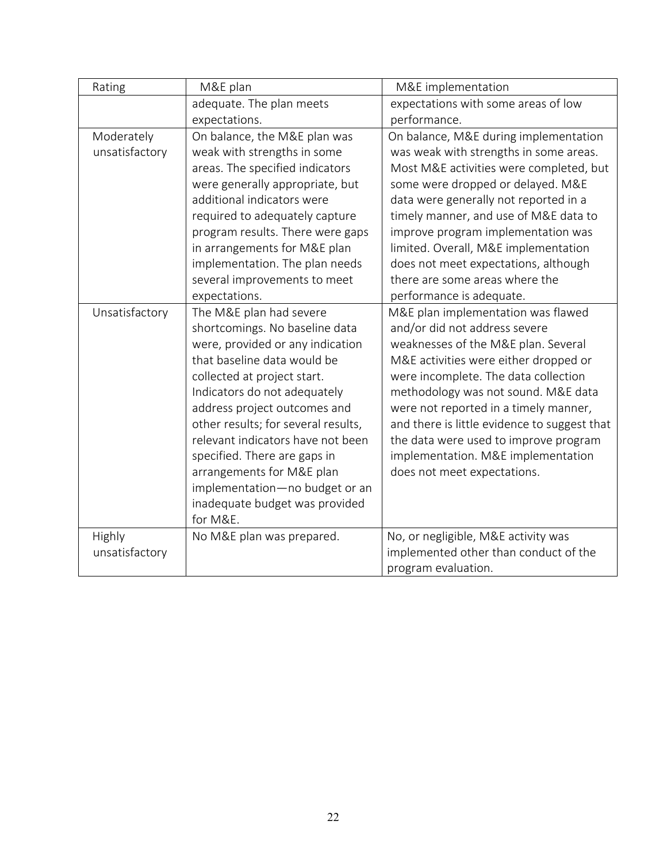| Rating         | M&E plan                            | M&E implementation                           |
|----------------|-------------------------------------|----------------------------------------------|
|                | adequate. The plan meets            | expectations with some areas of low          |
|                | expectations.                       | performance.                                 |
| Moderately     | On balance, the M&E plan was        | On balance, M&E during implementation        |
| unsatisfactory | weak with strengths in some         | was weak with strengths in some areas.       |
|                | areas. The specified indicators     | Most M&E activities were completed, but      |
|                | were generally appropriate, but     | some were dropped or delayed. M&E            |
|                | additional indicators were          | data were generally not reported in a        |
|                | required to adequately capture      | timely manner, and use of M&E data to        |
|                | program results. There were gaps    | improve program implementation was           |
|                | in arrangements for M&E plan        | limited. Overall, M&E implementation         |
|                | implementation. The plan needs      | does not meet expectations, although         |
|                | several improvements to meet        | there are some areas where the               |
|                | expectations.                       | performance is adequate.                     |
| Unsatisfactory | The M&E plan had severe             | M&E plan implementation was flawed           |
|                | shortcomings. No baseline data      | and/or did not address severe                |
|                | were, provided or any indication    | weaknesses of the M&E plan. Several          |
|                | that baseline data would be         | M&E activities were either dropped or        |
|                | collected at project start.         | were incomplete. The data collection         |
|                | Indicators do not adequately        | methodology was not sound. M&E data          |
|                | address project outcomes and        | were not reported in a timely manner,        |
|                | other results; for several results, | and there is little evidence to suggest that |
|                | relevant indicators have not been   | the data were used to improve program        |
|                | specified. There are gaps in        | implementation. M&E implementation           |
|                | arrangements for M&E plan           | does not meet expectations.                  |
|                | implementation-no budget or an      |                                              |
|                | inadequate budget was provided      |                                              |
|                | for M&E.                            |                                              |
| Highly         | No M&E plan was prepared.           | No, or negligible, M&E activity was          |
| unsatisfactory |                                     | implemented other than conduct of the        |
|                |                                     | program evaluation.                          |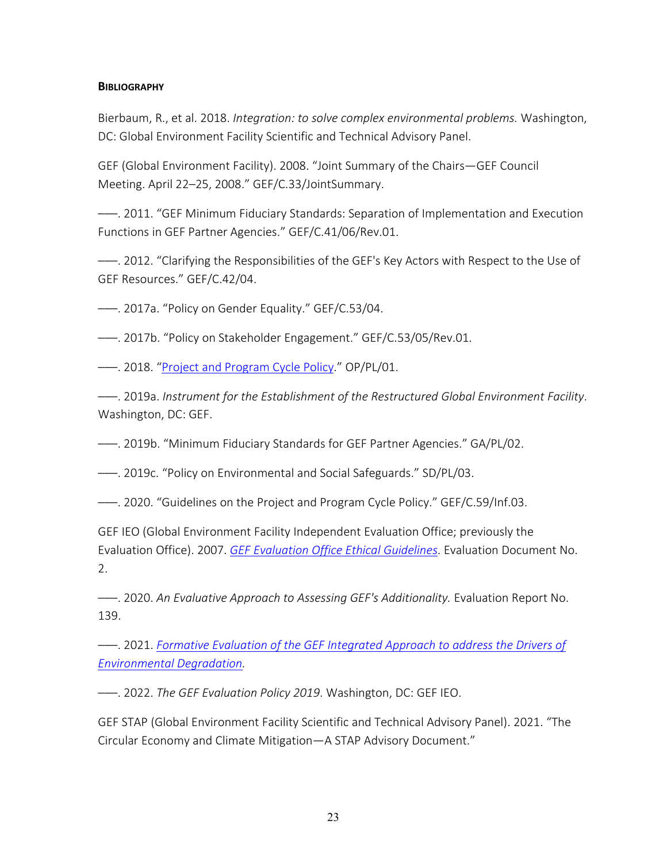#### <span id="page-25-0"></span>**BIBLIOGRAPHY**

Bierbaum, R., et al. 2018. *Integration: to solve complex environmental problems.* Washington, DC: Global Environment Facility Scientific and Technical Advisory Panel.

GEF (Global Environment Facility). 2008. "Joint Summary of the Chairs—GEF Council Meeting. April 22–25, 2008." GEF/C.33/JointSummary.

–––. 2011. "GEF Minimum Fiduciary Standards: Separation of Implementation and Execution Functions in GEF Partner Agencies." GEF/C.41/06/Rev.01.

–––. 2012. "Clarifying the Responsibilities of the GEF's Key Actors with Respect to the Use of GEF Resources." GEF/C.42/04.

–––. 2017a. "Policy on Gender Equality." GEF/C.53/04.

–––. 2017b. "Policy on Stakeholder Engagement." GEF/C.53/05/Rev.01.

–––. 2018. ["Project and Program Cycle Policy.](https://www.thegef.org/sites/default/files/documents/Project_Program_Cycle_Policy.pdf)" OP/PL/01.

–––. 2019a. *Instrument for the Establishment of the Restructured Global Environment Facility*. Washington, DC: GEF.

–––. 2019b. "Minimum Fiduciary Standards for GEF Partner Agencies." GA/PL/02.

–––. 2019c. "Policy on Environmental and Social Safeguards." SD/PL/03.

–––. 2020. "Guidelines on the Project and Program Cycle Policy." GEF/C.59/Inf.03.

GEF IEO (Global Environment Facility Independent Evaluation Office; previously the Evaluation Office). 2007. *[GEF Evaluation Office Ethical Guidelines](http://www.gefieo.org/sites/default/files/ieo/evaluations/gef-eo-ethical-guidelines-2007.pdf)*. Evaluation Document No. 2.

–––. 2020. *An Evaluative Approach to Assessing GEF's Additionality.* Evaluation Report No. 139.

–––. 2021. *[Formative Evaluation of the GEF Integrated Approach to address the Drivers of](https://www.gefieo.org/sites/default/files/documents/council-documents/c-60-e-04-rev-01.pdf)  [Environmental Degradation.](https://www.gefieo.org/sites/default/files/documents/council-documents/c-60-e-04-rev-01.pdf)*

–––. 2022. *The GEF Evaluation Policy 2019*. Washington, DC: GEF IEO.

GEF STAP (Global Environment Facility Scientific and Technical Advisory Panel). 2021. "The Circular Economy and Climate Mitigation—A STAP Advisory Document."